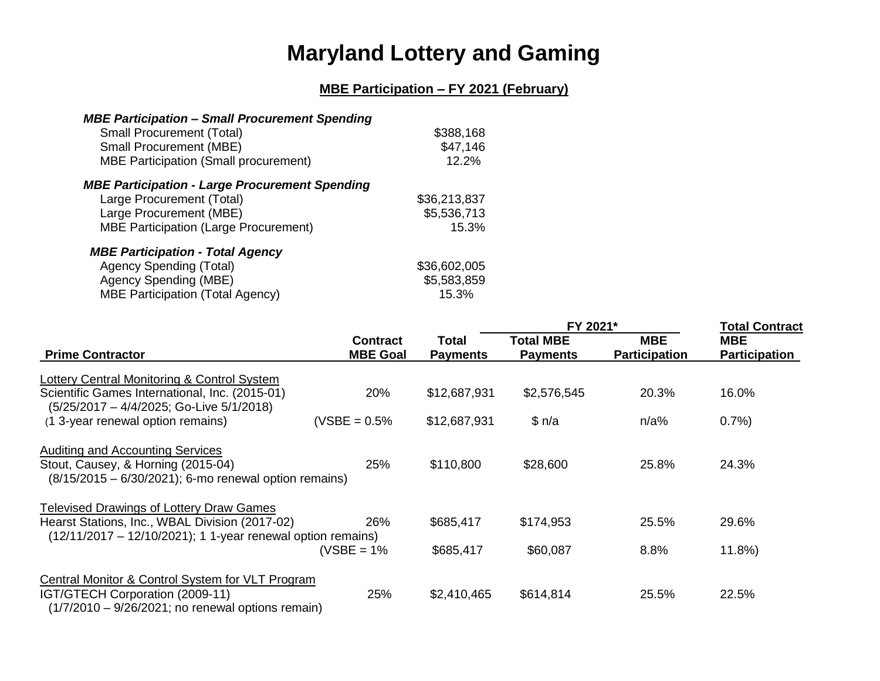## **Maryland Lottery and Gaming**

## **MBE Participation – FY 2021 (February)**

| <b>MBE Participation - Small Procurement Spending</b> |              |
|-------------------------------------------------------|--------------|
| <b>Small Procurement (Total)</b>                      | \$388,168    |
| <b>Small Procurement (MBE)</b>                        | \$47,146     |
| <b>MBE Participation (Small procurement)</b>          | 12.2%        |
| <b>MBE Participation - Large Procurement Spending</b> |              |
| Large Procurement (Total)                             | \$36,213,837 |
| Large Procurement (MBE)                               | \$5,536,713  |
| <b>MBE Participation (Large Procurement)</b>          | 15.3%        |
| <b>MBE Participation - Total Agency</b>               |              |
| <b>Agency Spending (Total)</b>                        | \$36,602,005 |

| Agency Spending (Total)                 | \$36.602.005 |
|-----------------------------------------|--------------|
| Agency Spending (MBE)                   | \$5,583,859  |
| <b>MBE Participation (Total Agency)</b> | 15.3%        |

|                                                                                                                                              |                                    |                          | FY 2021*                            |                                    | <b>Total Contract</b>              |  |
|----------------------------------------------------------------------------------------------------------------------------------------------|------------------------------------|--------------------------|-------------------------------------|------------------------------------|------------------------------------|--|
| <b>Prime Contractor</b>                                                                                                                      | <b>Contract</b><br><b>MBE Goal</b> | Total<br><b>Payments</b> | <b>Total MBE</b><br><b>Payments</b> | <b>MBE</b><br><b>Participation</b> | <b>MBE</b><br><b>Participation</b> |  |
| Lottery Central Monitoring & Control System                                                                                                  |                                    |                          |                                     |                                    |                                    |  |
| Scientific Games International, Inc. (2015-01)<br>(5/25/2017 - 4/4/2025; Go-Live 5/1/2018)                                                   | 20%                                | \$12,687,931             | \$2,576,545                         | 20.3%                              | 16.0%                              |  |
| (1 3-year renewal option remains)                                                                                                            | $(VSBE = 0.5%$                     | \$12,687,931             | \$n/a                               | n/a%                               | 0.7%                               |  |
| <b>Auditing and Accounting Services</b>                                                                                                      |                                    |                          |                                     |                                    |                                    |  |
| Stout, Causey, & Horning (2015-04)<br>$(8/15/2015 - 6/30/2021)$ ; 6-mo renewal option remains)                                               | 25%                                | \$110,800                | \$28,600                            | 25.8%                              | 24.3%                              |  |
| <b>Televised Drawings of Lottery Draw Games</b>                                                                                              |                                    |                          |                                     |                                    |                                    |  |
| Hearst Stations, Inc., WBAL Division (2017-02)<br>$(12/11/2017 - 12/10/2021)$ ; 1 1-year renewal option remains)                             | 26%                                | \$685,417                | \$174,953                           | 25.5%                              | 29.6%                              |  |
|                                                                                                                                              | (VSBE = $1\%$                      | \$685,417                | \$60,087                            | 8.8%                               | 11.8%                              |  |
| Central Monitor & Control System for VLT Program<br>IGT/GTECH Corporation (2009-11)<br>$(1/7/2010 - 9/26/2021)$ ; no renewal options remain) | 25%                                | \$2,410,465              | \$614,814                           | 25.5%                              | 22.5%                              |  |